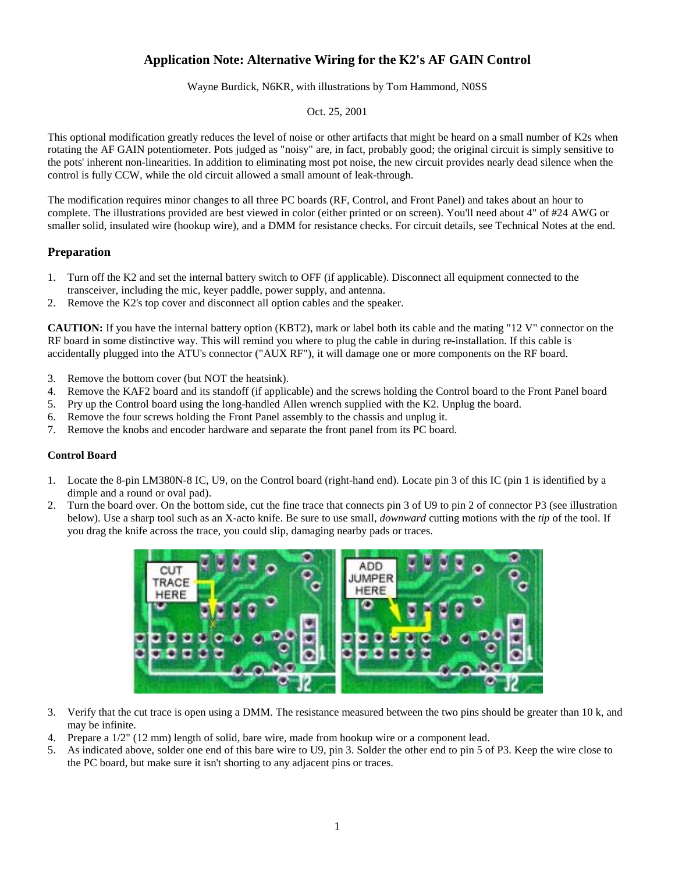# **Application Note: Alternative Wiring for the K2's AF GAIN Control**

Wayne Burdick, N6KR, with illustrations by Tom Hammond, N0SS

#### Oct. 25, 2001

This optional modification greatly reduces the level of noise or other artifacts that might be heard on a small number of K2s when rotating the AF GAIN potentiometer. Pots judged as "noisy" are, in fact, probably good; the original circuit is simply sensitive to the pots' inherent non-linearities. In addition to eliminating most pot noise, the new circuit provides nearly dead silence when the control is fully CCW, while the old circuit allowed a small amount of leak-through.

The modification requires minor changes to all three PC boards (RF, Control, and Front Panel) and takes about an hour to complete. The illustrations provided are best viewed in color (either printed or on screen). You'll need about 4" of #24 AWG or smaller solid, insulated wire (hookup wire), and a DMM for resistance checks. For circuit details, see Technical Notes at the end.

## **Preparation**

- 1. Turn off the K2 and set the internal battery switch to OFF (if applicable). Disconnect all equipment connected to the transceiver, including the mic, keyer paddle, power supply, and antenna.
- 2. Remove the K2's top cover and disconnect all option cables and the speaker.

**CAUTION:** If you have the internal battery option (KBT2), mark or label both its cable and the mating "12 V" connector on the RF board in some distinctive way. This will remind you where to plug the cable in during re-installation. If this cable is accidentally plugged into the ATU's connector ("AUX RF"), it will damage one or more components on the RF board.

- 3. Remove the bottom cover (but NOT the heatsink).
- 4. Remove the KAF2 board and its standoff (if applicable) and the screws holding the Control board to the Front Panel board
- 5. Pry up the Control board using the long-handled Allen wrench supplied with the K2. Unplug the board.
- 6. Remove the four screws holding the Front Panel assembly to the chassis and unplug it.
- 7. Remove the knobs and encoder hardware and separate the front panel from its PC board.

## **Control Board**

- 1. Locate the 8-pin LM380N-8 IC, U9, on the Control board (right-hand end). Locate pin 3 of this IC (pin 1 is identified by a dimple and a round or oval pad).
- 2. Turn the board over. On the bottom side, cut the fine trace that connects pin 3 of U9 to pin 2 of connector P3 (see illustration below). Use a sharp tool such as an X-acto knife. Be sure to use small, *downward* cutting motions with the *tip* of the tool. If you drag the knife across the trace, you could slip, damaging nearby pads or traces.



- 3. Verify that the cut trace is open using a DMM. The resistance measured between the two pins should be greater than 10 k, and may be infinite.
- 4. Prepare a 1/2" (12 mm) length of solid, bare wire, made from hookup wire or a component lead.
- 5. As indicated above, solder one end of this bare wire to U9, pin 3. Solder the other end to pin 5 of P3. Keep the wire close to the PC board, but make sure it isn't shorting to any adjacent pins or traces.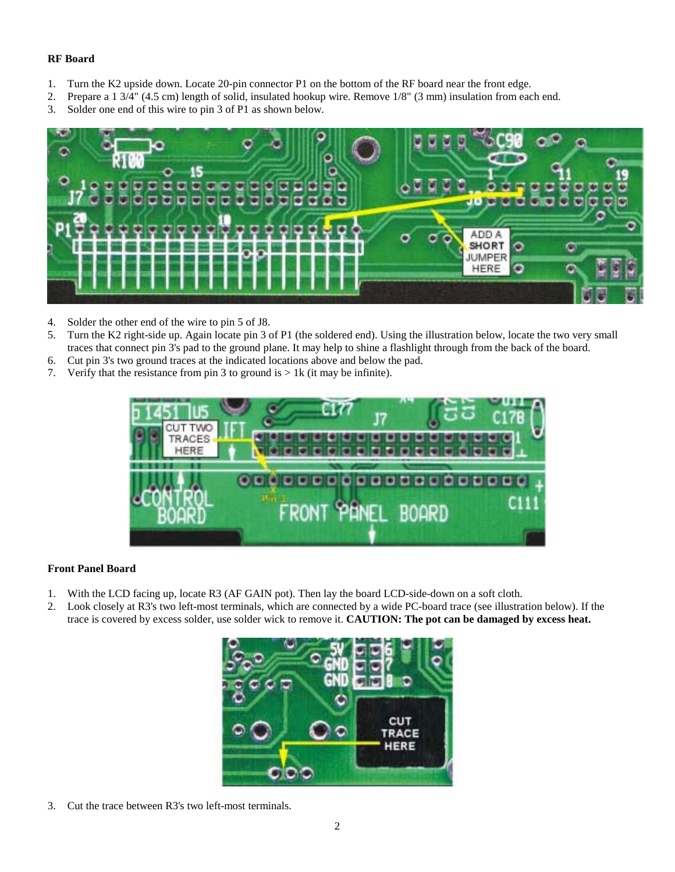## **RF Board**

- 1. Turn the K2 upside down. Locate 20-pin connector P1 on the bottom of the RF board near the front edge.
- 2. Prepare a 1 3/4" (4.5 cm) length of solid, insulated hookup wire. Remove 1/8" (3 mm) insulation from each end.
- 3. Solder one end of this wire to pin 3 of P1 as shown below.



- 4. Solder the other end of the wire to pin 5 of J8.
- 5. Turn the K2 right-side up. Again locate pin 3 of P1 (the soldered end). Using the illustration below, locate the two very small traces that connect pin 3's pad to the ground plane. It may help to shine a flashlight through from the back of the board.
- 6. Cut pin 3's two ground traces at the indicated locations above and below the pad.
- 7. Verify that the resistance from pin 3 to ground is  $> 1k$  (it may be infinite).



## **Front Panel Board**

- 1. With the LCD facing up, locate R3 (AF GAIN pot). Then lay the board LCD-side-down on a soft cloth.
- 2. Look closely at R3's two left-most terminals, which are connected by a wide PC-board trace (see illustration below). If the trace is covered by excess solder, use solder wick to remove it. **CAUTION: The pot can be damaged by excess heat.**



3. Cut the trace between R3's two left-most terminals.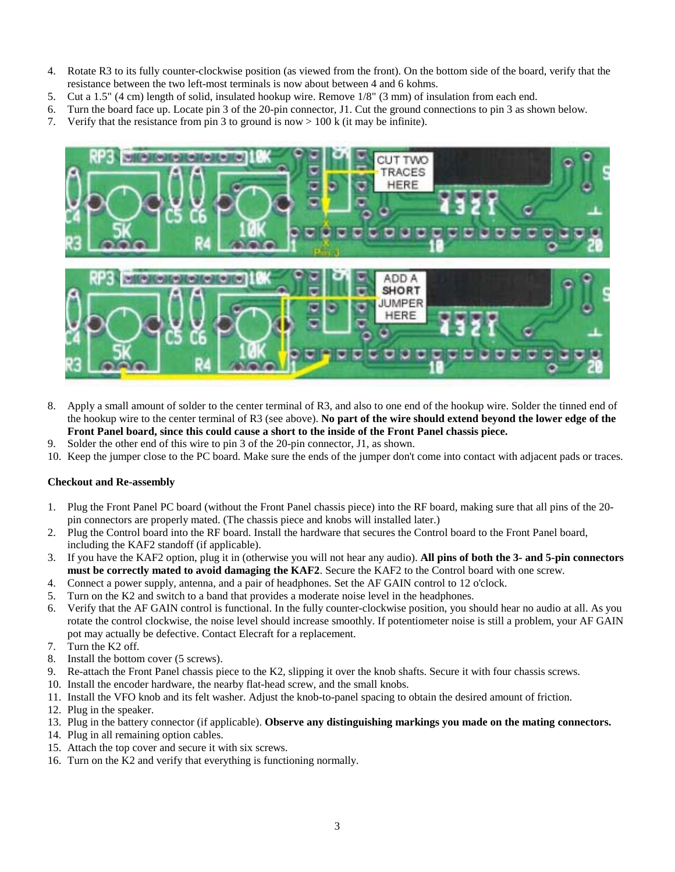- 4. Rotate R3 to its fully counter-clockwise position (as viewed from the front). On the bottom side of the board, verify that the resistance between the two left-most terminals is now about between 4 and 6 kohms.
- 5. Cut a 1.5" (4 cm) length of solid, insulated hookup wire. Remove 1/8" (3 mm) of insulation from each end.
- 6. Turn the board face up. Locate pin 3 of the 20-pin connector, J1. Cut the ground connections to pin 3 as shown below.
- 7. Verify that the resistance from pin 3 to ground is now  $> 100$  k (it may be infinite).



- 8. Apply a small amount of solder to the center terminal of R3, and also to one end of the hookup wire. Solder the tinned end of the hookup wire to the center terminal of R3 (see above). **No part of the wire should extend beyond the lower edge of the Front Panel board, since this could cause a short to the inside of the Front Panel chassis piece.**
- 9. Solder the other end of this wire to pin 3 of the 20-pin connector, J1, as shown.
- 10. Keep the jumper close to the PC board. Make sure the ends of the jumper don't come into contact with adjacent pads or traces.

## **Checkout and Re-assembly**

- 1. Plug the Front Panel PC board (without the Front Panel chassis piece) into the RF board, making sure that all pins of the 20 pin connectors are properly mated. (The chassis piece and knobs will installed later.)
- 2. Plug the Control board into the RF board. Install the hardware that secures the Control board to the Front Panel board, including the KAF2 standoff (if applicable).
- 3. If you have the KAF2 option, plug it in (otherwise you will not hear any audio). **All pins of both the 3- and 5-pin connectors must be correctly mated to avoid damaging the KAF2**. Secure the KAF2 to the Control board with one screw.
- 4. Connect a power supply, antenna, and a pair of headphones. Set the AF GAIN control to 12 o'clock.
- 5. Turn on the K2 and switch to a band that provides a moderate noise level in the headphones.
- 6. Verify that the AF GAIN control is functional. In the fully counter-clockwise position, you should hear no audio at all. As you rotate the control clockwise, the noise level should increase smoothly. If potentiometer noise is still a problem, your AF GAIN pot may actually be defective. Contact Elecraft for a replacement.
- 7. Turn the K2 off.
- 8. Install the bottom cover (5 screws).
- 9. Re-attach the Front Panel chassis piece to the K2, slipping it over the knob shafts. Secure it with four chassis screws.
- 10. Install the encoder hardware, the nearby flat-head screw, and the small knobs.
- 11. Install the VFO knob and its felt washer. Adjust the knob-to-panel spacing to obtain the desired amount of friction.
- 12. Plug in the speaker.
- 13. Plug in the battery connector (if applicable). **Observe any distinguishing markings you made on the mating connectors.**
- 14. Plug in all remaining option cables.
- 15. Attach the top cover and secure it with six screws.
- 16. Turn on the K2 and verify that everything is functioning normally.